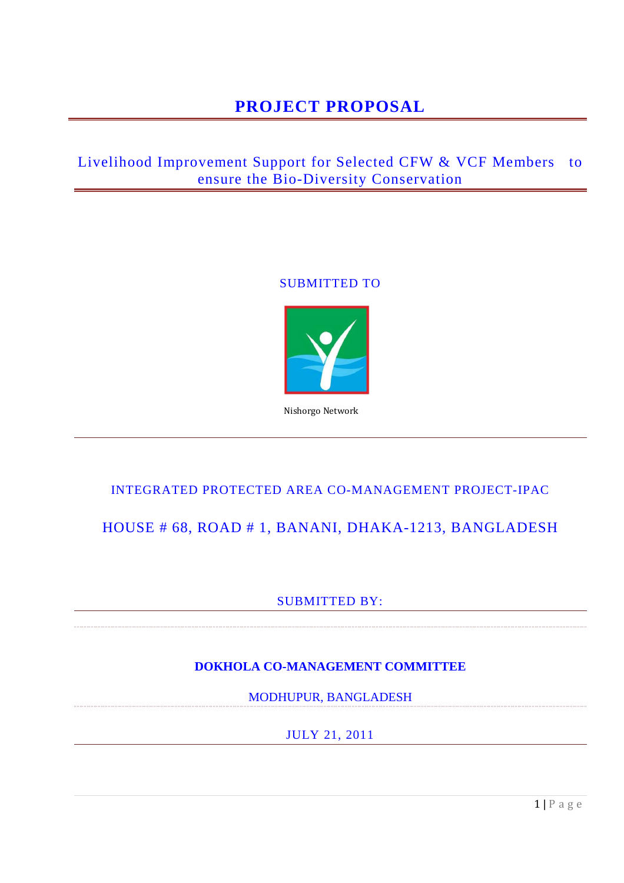# **PROJECT PROPOSAL**

## Livelihood Improvement Support for Selected CFW & VCF Members to ensure the Bio-Diversity Conservation

### SUBMITTED TO



Nishorgo Network

### INTEGRATED PROTECTED AREA CO-MANAGEMENT PROJECT-IPAC

## HOUSE # 68, ROAD # 1, BANANI, DHAKA-1213, BANGLADESH

### SUBMITTED BY:

### **DOKHOLA CO-MANAGEMENT COMMITTEE**

MODHUPUR, BANGLADESH

JULY 21, 2011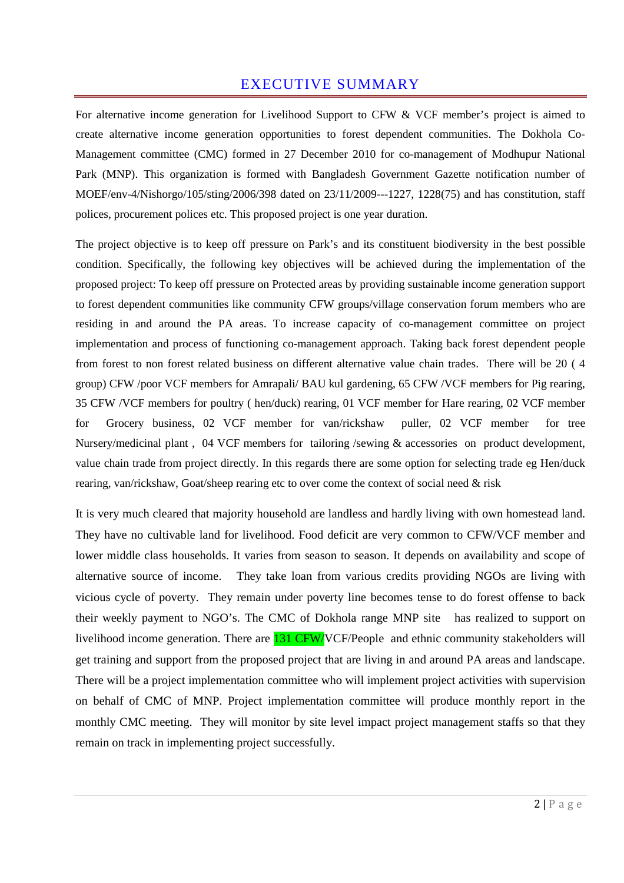## EXECUTIVE SUMMARY

For alternative income generation for Livelihood Support to CFW & VCF member's project is aimed to create alternative income generation opportunities to forest dependent communities. The Dokhola Co-Management committee (CMC) formed in 27 December 2010 for co-management of Modhupur National Park (MNP). This organization is formed with Bangladesh Government Gazette notification number of MOEF/env-4/Nishorgo/105/sting/2006/398 dated on 23/11/2009---1227, 1228(75) and has constitution, staff polices, procurement polices etc. This proposed project is one year duration.

The project objective is to keep off pressure on Park's and its constituent biodiversity in the best possible condition. Specifically, the following key objectives will be achieved during the implementation of the proposed project: To keep off pressure on Protected areas by providing sustainable income generation support to forest dependent communities like community CFW groups/village conservation forum members who are residing in and around the PA areas. To increase capacity of co-management committee on project implementation and process of functioning co-management approach. Taking back forest dependent people from forest to non forest related business on different alternative value chain trades. There will be 20 ( 4 group) CFW /poor VCF members for Amrapali/ BAU kul gardening, 65 CFW /VCF members for Pig rearing, 35 CFW /VCF members for poultry ( hen/duck) rearing, 01 VCF member for Hare rearing, 02 VCF member for Grocery business, 02 VCF member for van/rickshaw puller, 02 VCF member for tree Nursery/medicinal plant , 04 VCF members for tailoring /sewing & accessories on product development, value chain trade from project directly. In this regards there are some option for selecting trade eg Hen/duck rearing, van/rickshaw, Goat/sheep rearing etc to over come the context of social need & risk

It is very much cleared that majority household are landless and hardly living with own homestead land. They have no cultivable land for livelihood. Food deficit are very common to CFW/VCF member and lower middle class households. It varies from season to season. It depends on availability and scope of alternative source of income. They take loan from various credits providing NGOs are living with vicious cycle of poverty. They remain under poverty line becomes tense to do forest offense to back their weekly payment to NGO's. The CMC of Dokhola range MNP site has realized to support on livelihood income generation. There are **131 CFW/VCF/People** and ethnic community stakeholders will get training and support from the proposed project that are living in and around PA areas and landscape. There will be a project implementation committee who will implement project activities with supervision on behalf of CMC of MNP. Project implementation committee will produce monthly report in the monthly CMC meeting. They will monitor by site level impact project management staffs so that they remain on track in implementing project successfully.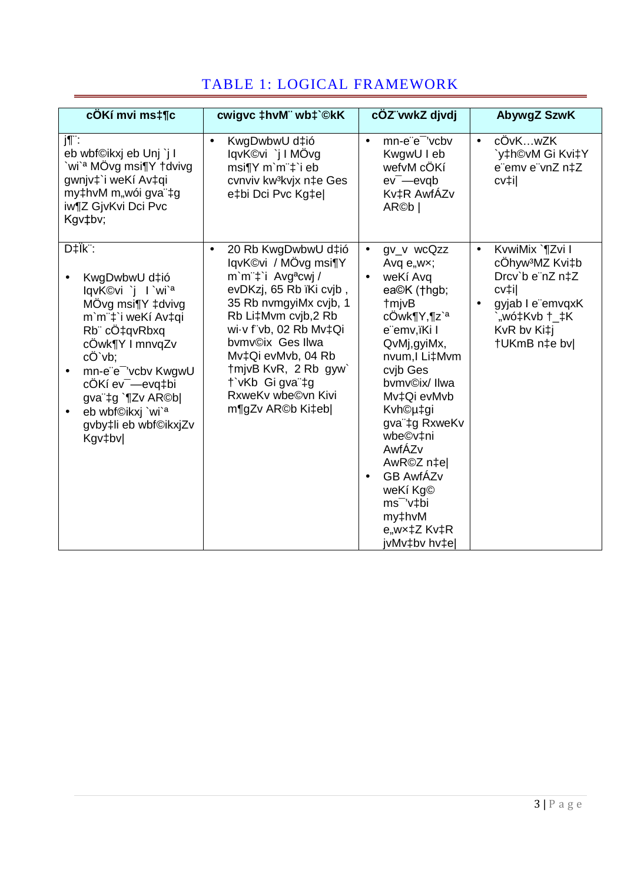|  | TABLE 1: LOGICAL FRAMEWORK |
|--|----------------------------|
|--|----------------------------|

| cÖKí mvi mst¶c                                                                                                                                                                                                                                                                                                                   | cwigvc ‡hvM" wb‡`©kK                                                                                                                                                                                                                                                                                                                      | cÖZ vwkZ djvdj                                                                                                                                                                                                                                                                                                                                                                                         | AbywgZ SzwK                                                                                                                                                 |
|----------------------------------------------------------------------------------------------------------------------------------------------------------------------------------------------------------------------------------------------------------------------------------------------------------------------------------|-------------------------------------------------------------------------------------------------------------------------------------------------------------------------------------------------------------------------------------------------------------------------------------------------------------------------------------------|--------------------------------------------------------------------------------------------------------------------------------------------------------------------------------------------------------------------------------------------------------------------------------------------------------------------------------------------------------------------------------------------------------|-------------------------------------------------------------------------------------------------------------------------------------------------------------|
| j¶¨:<br>eb wbf©ikxj eb Unj `j l<br>`wi` <sup>a</sup> MÖvg msi¶Y †dvivg<br>gwnjv‡`i weKí Av‡qi<br>my‡hvM m"wói gva"‡g<br>iw¶Z GjvKvi Dci Pvc<br>Kgv‡bv;                                                                                                                                                                           | KwgDwbwU d‡ió<br>$\bullet$<br>lqvK©vi `j I MÖvg<br>msi¶Y m`m¨‡`i eb<br>cvnviv kw <sup>3</sup> kvjx n‡e Ges<br>e‡bi Dci Pvc Kg‡el                                                                                                                                                                                                          | mn-e"e" 'vcbv<br>$\bullet$<br>KwgwU I eb<br>wefvM cÖKí<br>$ev$ <sup>-</sup> $-e$ <i>v</i> $qb$<br>Kv‡R AwfÁZv<br>AR©b                                                                                                                                                                                                                                                                                  | cÖvKwZK<br>$\bullet$<br>`y‡h©vM Gi Kvi‡Y<br>e"emv e"vnZ n‡Z<br>cv‡i                                                                                         |
| D‡Ïk <sup>":</sup><br>KwgDwbwU d‡ió<br>lqvK©vi `j l `wi` <sup>a</sup><br>MÖvg msi¶Y ‡dvivg<br>m'm"‡'i weKí Av‡qi<br>Rb" cÖ‡qvRbxq<br>cÖwk¶Y I mnvqZv<br>cÖ`vb;<br>mn-e"e" 'vcbv KwgwU<br>٠<br>cÖKí ev <sup>-</sup> -evq‡bi<br>gva"‡g `¶Zv AR©b <br>eb wbf©ikxj `wi` <sup>a</sup><br>$\bullet$<br>gvby‡li eb wbf©ikxjZv<br>Kgv‡bv | 20 Rb KwgDwbwU d‡ió<br>$\bullet$<br>lqvK©vi / MÖvg msi¶Y<br>m'm" <sup>+</sup> i Avg <sup>a</sup> cwj/<br>evDKzj, 65 Rb ïKi cvjb,<br>35 Rb nvmgyiMx cvjb, 1<br>Rb Li‡Mvm cvjb,2 Rb<br>wi-v f"vb, 02 Rb Mv‡Qi<br>bvmv©ix Ges IIwa<br>Mv‡Qi evMvb, 04 Rb<br>tmivB KvR, 2 Rb gyw<br>t`vKb Gi gva"‡g<br>RxweKv wbe©vn Kivi<br>m¶gZv AR©b Ki‡eb | gv_v wcQzz<br>$\bullet$<br>Avq $e, wx;$<br>weKí Avg<br>$\bullet$<br>ea©K (†hgb;<br><b>tmjvB</b><br>cÖwk¶Y,¶z` <sup>a</sup><br>e"emv,ïKi l<br>QvMj,gyiMx,<br>nvum, I Li‡Mvm<br>cvib Ges<br>bymv©ix/ IIwa<br>Mv‡Qi evMvb<br>Kvh©µ‡gi<br>gva"‡g RxweKv<br>wbe©v‡ni<br>AwfÁZv<br>AwR©Z n‡el<br><b>GB AwfÁZv</b><br>$\bullet$<br>weKí Kg©<br>ms <sup>-</sup> 'v‡bi<br>my‡hvM<br>e,wx‡Z Kv‡R<br>jvMv‡bv hv‡e | KvwiMix `¶Zvi I<br>$\bullet$<br>cÖhyw <sup>3</sup> MZ Kvi‡b<br>Drcv'b e"nZ n‡Z<br>cv‡il<br>gyjab I e"emvqxK<br>`"wó‡Kvb †_‡K<br>KvR bv Ki‡j<br>†UKmB n‡e bv |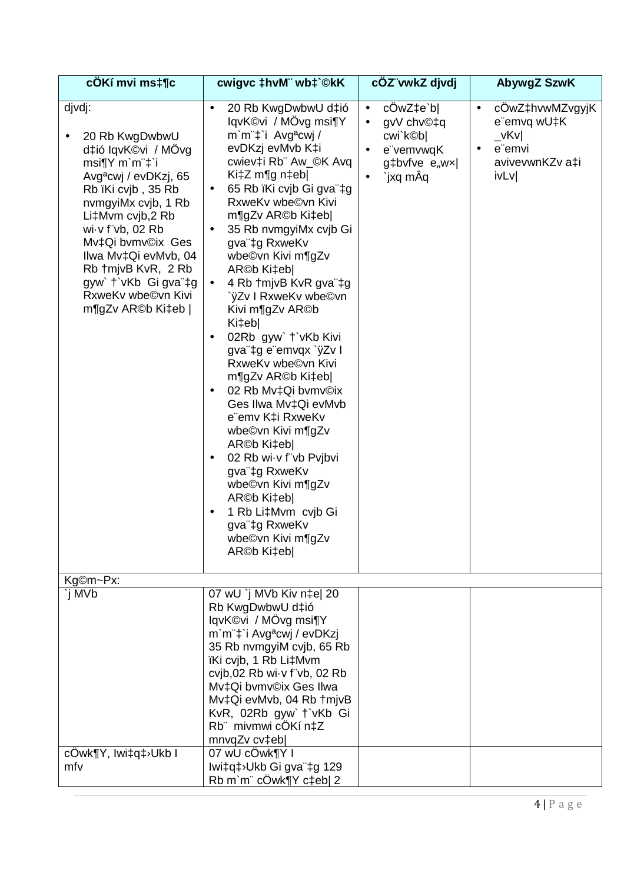| cÖKí mvi ms‡¶c                                                                                                                                                                                                                                                                                                                  | cwigvc ‡hvM" wb‡`©kK                                                                                                                                                                                                                                                                                                                                                                                                                                                                                                                                                                                                                                                                                                                                                                                                                                   | cÖZ vwkZ djvdj                                                                                                                   | AbywgZ SzwK                                                                                                            |
|---------------------------------------------------------------------------------------------------------------------------------------------------------------------------------------------------------------------------------------------------------------------------------------------------------------------------------|--------------------------------------------------------------------------------------------------------------------------------------------------------------------------------------------------------------------------------------------------------------------------------------------------------------------------------------------------------------------------------------------------------------------------------------------------------------------------------------------------------------------------------------------------------------------------------------------------------------------------------------------------------------------------------------------------------------------------------------------------------------------------------------------------------------------------------------------------------|----------------------------------------------------------------------------------------------------------------------------------|------------------------------------------------------------------------------------------------------------------------|
| djvdj:<br>20 Rb KwgDwbwU<br>d‡ió lqvK©vi / MÖvg<br>msiTY m'm't'i<br>Avg <sup>a</sup> cwj / evDKzj, 65<br>Rb ïKi cvjb, 35 Rb<br>nvmgyiMx cvjb, 1 Rb<br>Li‡Mvm cvjb,2 Rb<br>wi-v f"vb, 02 Rb<br>Mv‡Qi bvmv©ix Ges<br>Ilwa Mv‡Qi evMvb, 04<br>Rb +mjvB KvR, 2 Rb<br>gyw' t'vKb Gi gva"‡g<br>RxweKv wbe©vn Kivi<br>m¶gZv AR©b Ki‡eb | 20 Rb KwgDwbwU d‡ió<br>$\bullet$<br>lqvK©vi / MÖvg msi¶Y<br>m'm"‡'i Avg <sup>a</sup> cwj/<br>evDKzj evMvb K‡i<br>cwiev‡i Rb" Aw_©K Avq<br>Ki $\ddagger$ Z m¶g n $\ddagger$ eb <br>65 Rb ïKi cvjb Gi gva ‡g<br>$\bullet$<br>RxweKv wbe©vn Kivi<br>m¶gZv AR©b Ki‡eb <br>35 Rb nvmgyiMx cvjb Gi<br>$\bullet$<br>gva"‡g RxweKv<br>wbe©vn Kivi m¶gZv<br>AR©b Ki‡eb <br>4 Rb +mjvB KvR gva"‡g<br>$\bullet$<br>`ÿZv I RxweKv wbe©vn<br>Kivi m¶gZv AR©b<br>Ki‡eb <br>02Rb gyw` †`vKb Kivi<br>٠<br>gva"‡g e"emvqx `ÿZv I<br>RxweKv wbe©vn Kivi<br>m¶gZv AR©b Ki‡eb <br>02 Rb Mv‡Qi bvmv©ix<br>٠<br>Ges Ilwa Mv‡Qi evMvb<br>e"emv K‡i RxweKv<br>wbe©vn Kivi m¶gZv<br>AR©b Ki‡eb <br>02 Rb wi-v f"vb Pvjbvi<br>٠<br>gva"‡g RxweKv<br>wbe©vn Kivi m¶gZv<br>AR©b Ki‡eb <br>1 Rb Li‡Mvm cvjb Gi<br>٠<br>gva"‡g RxweKv<br>wbe©vn Kivi m¶gZv<br>ARC <sub>b</sub> Ki‡eb | cOwZ‡e`b<br>$\bullet$<br>gvV chv©‡q<br>$\bullet$<br>cwi`k©b <br>e"vemvwqK<br>$\bullet$<br>g‡bvfve e"wx <br>`jxq mÂq<br>$\bullet$ | cOwZ‡hvwMZvgyjK<br>$\bullet$<br>e"emvq wU‡K<br>$\sqrt{\mathsf{K}}\mathsf{V}$<br>e emvi<br>٠<br>avivevwnKZv a‡i<br>ivLv |
| Kg©m~Px:                                                                                                                                                                                                                                                                                                                        |                                                                                                                                                                                                                                                                                                                                                                                                                                                                                                                                                                                                                                                                                                                                                                                                                                                        |                                                                                                                                  |                                                                                                                        |
| `j MVb                                                                                                                                                                                                                                                                                                                          | 07 wU `j MVb Kiv n‡e  20<br>Rb KwgDwbwU d‡ió<br>lqvK©vi / MÖvg msi¶Y<br>m'm"‡'i Avg <sup>a</sup> cwj / evDKzj<br>35 Rb nvmgyiM cvjb, 65 Rb<br>ïKi cvjb, 1 Rb Li‡Mvm<br>cvjb,02 Rb wi $\cdot$ v f"vb, 02 Rb<br>Mv‡Qi bvmv©ix Ges Ilwa<br>Mv‡Qi evMvb, 04 Rb † mjvB<br>KvR, 02Rb gyw' t'vKb Gi<br>Rb mivmwi cÔKí n‡Z<br>mnvqZv cv‡eb                                                                                                                                                                                                                                                                                                                                                                                                                                                                                                                     |                                                                                                                                  |                                                                                                                        |
| cOwk¶Y, Iwi‡q‡>Ukb I<br>mfv                                                                                                                                                                                                                                                                                                     | 07 wU cOwk¶Y I<br>Iwi‡q‡>Ukb Gi gva"‡g 129<br>Rb m`m" cÖwk¶Y c‡eb  2                                                                                                                                                                                                                                                                                                                                                                                                                                                                                                                                                                                                                                                                                                                                                                                   |                                                                                                                                  |                                                                                                                        |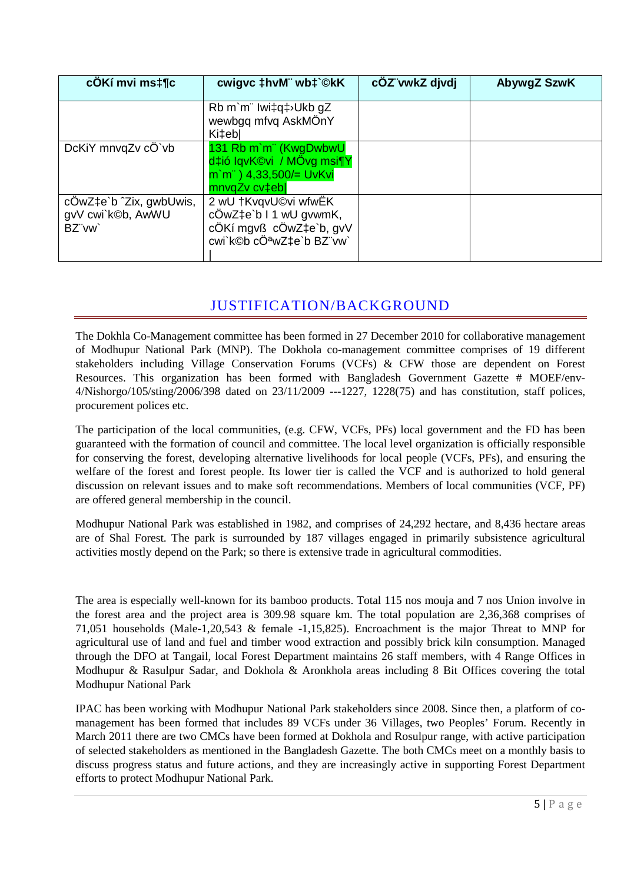| cÖKí mvi ms‡¶c                                        | cwigvc ‡hvM" wb‡`©kK                                                                                          | cÖZ vwkZ djvdj | AbywgZ SzwK |
|-------------------------------------------------------|---------------------------------------------------------------------------------------------------------------|----------------|-------------|
|                                                       | Rb m`m" Iwi‡q‡>Ukb gZ<br>wewbgg mfvg AskMÖnY<br>Ki‡eb                                                         |                |             |
| DcKiY mnvqZv cÖ`vb                                    | 131 Rb m'm" (KwgDwbwU<br>d‡ió IqvK©vi / MÖvg msi¶Y<br>$m$ `m <sup>"</sup> ) 4,33,500/= UvKvi<br>mnvqZv cv‡ebl |                |             |
| cOwZ‡e`b ^Zix, gwbUwis,<br>gvV cwi`k©b, AwWU<br>BZ"vw | 2 wU †KvqvU©vi wfwEK<br>cÖwZ‡e`b I 1 wU gvwmK,<br>cÖKí mgvß cÖwZ‡e`b, gvV<br>cwi`k©b cÖªwZ‡e`b BZ"vw`         |                |             |

## JUSTIFICATION/BACKGROUND

The Dokhla Co-Management committee has been formed in 27 December 2010 for collaborative management of Modhupur National Park (MNP). The Dokhola co-management committee comprises of 19 different stakeholders including Village Conservation Forums (VCFs) & CFW those are dependent on Forest Resources. This organization has been formed with Bangladesh Government Gazette # MOEF/env-4/Nishorgo/105/sting/2006/398 dated on 23/11/2009 ---1227, 1228(75) and has constitution, staff polices, procurement polices etc.

The participation of the local communities, (e.g. CFW, VCFs, PFs) local government and the FD has been guaranteed with the formation of council and committee. The local level organization is officially responsible for conserving the forest, developing alternative livelihoods for local people (VCFs, PFs), and ensuring the welfare of the forest and forest people. Its lower tier is called the VCF and is authorized to hold general discussion on relevant issues and to make soft recommendations. Members of local communities (VCF, PF) are offered general membership in the council.

Modhupur National Park was established in 1982, and comprises of 24,292 hectare, and 8,436 hectare areas are of Shal Forest. The park is surrounded by 187 villages engaged in primarily subsistence agricultural activities mostly depend on the Park; so there is extensive trade in agricultural commodities.

The area is especially well-known for its bamboo products. Total 115 nos mouja and 7 nos Union involve in the forest area and the project area is 309.98 square km. The total population are 2,36,368 comprises of 71,051 households (Male-1,20,543 & female -1,15,825). Encroachment is the major Threat to MNP for agricultural use of land and fuel and timber wood extraction and possibly brick kiln consumption. Managed through the DFO at Tangail, local Forest Department maintains 26 staff members, with 4 Range Offices in Modhupur & Rasulpur Sadar, and Dokhola & Aronkhola areas including 8 Bit Offices covering the total Modhupur National Park

IPAC has been working with Modhupur National Park stakeholders since 2008. Since then, a platform of comanagement has been formed that includes 89 VCFs under 36 Villages, two Peoples' Forum. Recently in March 2011 there are two CMCs have been formed at Dokhola and Rosulpur range, with active participation of selected stakeholders as mentioned in the Bangladesh Gazette. The both CMCs meet on a monthly basis to discuss progress status and future actions, and they are increasingly active in supporting Forest Department efforts to protect Modhupur National Park.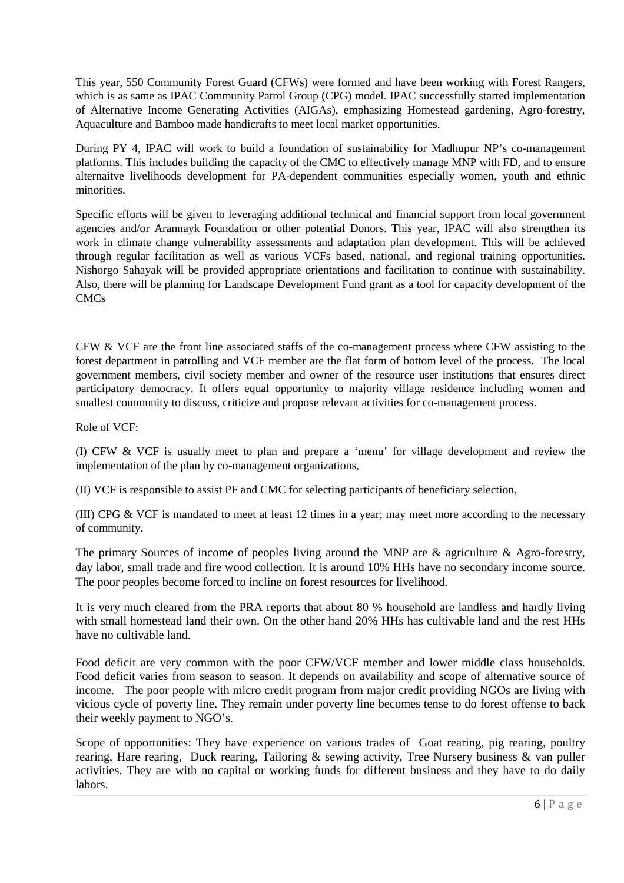This year, 550 Community Forest Guard (CFWs) were formed and have been working with Forest Rangers, which is as same as IPAC Community Patrol Group (CPG) model. IPAC successfully started implementation of Alternative Income Generating Activities (AIGAs), emphasizing Homestead gardening, Agro-forestry, Aquaculture and Bamboo made handicrafts to meet local market opportunities.

During PY 4, IPAC will work to build a foundation of sustainability for Madhupur NP's co-management platforms. This includes building the capacity of the CMC to effectively manage MNP with FD, and to ensure alternaitve livelihoods development for PA-dependent communities especially women, youth and ethnic minorities.

Specific efforts will be given to leveraging additional technical and financial support from local government agencies and/or Arannayk Foundation or other potential Donors. This year, IPAC will also strengthen its work in climate change vulnerability assessments and adaptation plan development. This will be achieved through regular facilitation as well as various VCFs based, national, and regional training opportunities. Nishorgo Sahayak will be provided appropriate orientations and facilitation to continue with sustainability. Also, there will be planning for Landscape Development Fund grant as a tool for capacity development of the CMCs

CFW & VCF are the front line associated staffs of the co-management process where CFW assisting to the forest department in patrolling and VCF member are the flat form of bottom level of the process. The local government members, civil society member and owner of the resource user institutions that ensures direct participatory democracy. It offers equal opportunity to majority village residence including women and smallest community to discuss, criticize and propose relevant activities for co-management process.

Role of VCF:

(I) CFW & VCF is usually meet to plan and prepare a 'menu' for village development and review the implementation of the plan by co-management organizations,

(II) VCF is responsible to assist PF and CMC for selecting participants of beneficiary selection,

(III) CPG & VCF is mandated to meet at least 12 times in a year; may meet more according to the necessary of community.

The primary Sources of income of peoples living around the MNP are & agriculture & Agro-forestry, day labor, small trade and fire wood collection. It is around 10% HHs have no secondary income source. The poor peoples become forced to incline on forest resources for livelihood.

It is very much cleared from the PRA reports that about 80 % household are landless and hardly living with small homestead land their own. On the other hand 20% HHs has cultivable land and the rest HHs have no cultivable land.

Food deficit are very common with the poor CFW/VCF member and lower middle class households. Food deficit varies from season to season. It depends on availability and scope of alternative source of income. The poor people with micro credit program from major credit providing NGOs are living with vicious cycle of poverty line. They remain under poverty line becomes tense to do forest offense to back their weekly payment to NGO's.

Scope of opportunities: They have experience on various trades of Goat rearing, pig rearing, poultry rearing, Hare rearing, Duck rearing, Tailoring & sewing activity, Tree Nursery business & van puller activities. They are with no capital or working funds for different business and they have to do daily labors.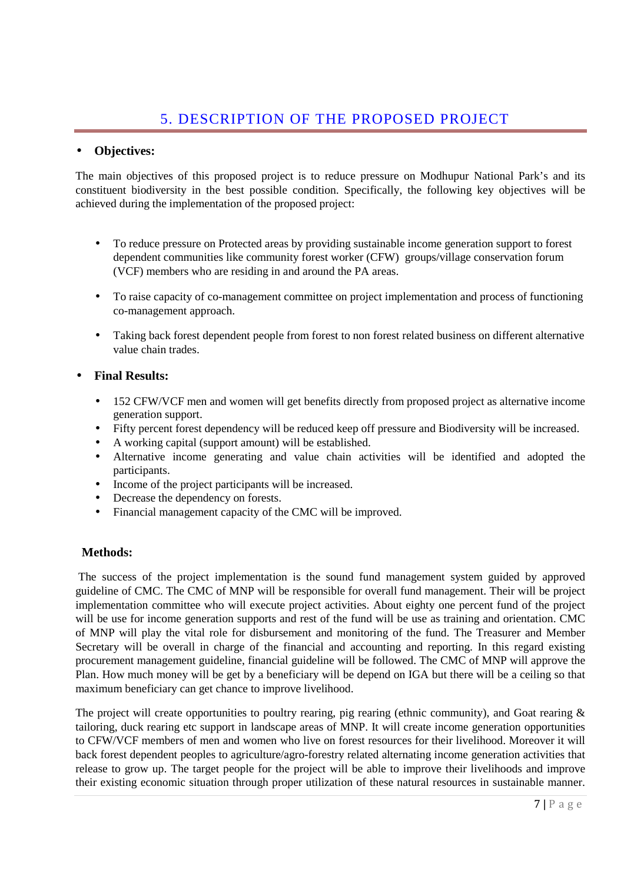### • **Objectives:**

The main objectives of this proposed project is to reduce pressure on Modhupur National Park's and its constituent biodiversity in the best possible condition. Specifically, the following key objectives will be achieved during the implementation of the proposed project:

- To reduce pressure on Protected areas by providing sustainable income generation support to forest dependent communities like community forest worker (CFW) groups/village conservation forum (VCF) members who are residing in and around the PA areas.
- To raise capacity of co-management committee on project implementation and process of functioning co-management approach.
- Taking back forest dependent people from forest to non forest related business on different alternative value chain trades.

### • **Final Results:**

- 152 CFW/VCF men and women will get benefits directly from proposed project as alternative income generation support.
- Fifty percent forest dependency will be reduced keep off pressure and Biodiversity will be increased.
- A working capital (support amount) will be established.
- Alternative income generating and value chain activities will be identified and adopted the participants.
- Income of the project participants will be increased.
- Decrease the dependency on forests.
- Financial management capacity of the CMC will be improved.

#### **Methods:**

 The success of the project implementation is the sound fund management system guided by approved guideline of CMC. The CMC of MNP will be responsible for overall fund management. Their will be project implementation committee who will execute project activities. About eighty one percent fund of the project will be use for income generation supports and rest of the fund will be use as training and orientation. CMC of MNP will play the vital role for disbursement and monitoring of the fund. The Treasurer and Member Secretary will be overall in charge of the financial and accounting and reporting. In this regard existing procurement management guideline, financial guideline will be followed. The CMC of MNP will approve the Plan. How much money will be get by a beneficiary will be depend on IGA but there will be a ceiling so that maximum beneficiary can get chance to improve livelihood.

The project will create opportunities to poultry rearing, pig rearing (ethnic community), and Goat rearing  $\&$ tailoring, duck rearing etc support in landscape areas of MNP. It will create income generation opportunities to CFW/VCF members of men and women who live on forest resources for their livelihood. Moreover it will back forest dependent peoples to agriculture/agro-forestry related alternating income generation activities that release to grow up. The target people for the project will be able to improve their livelihoods and improve their existing economic situation through proper utilization of these natural resources in sustainable manner.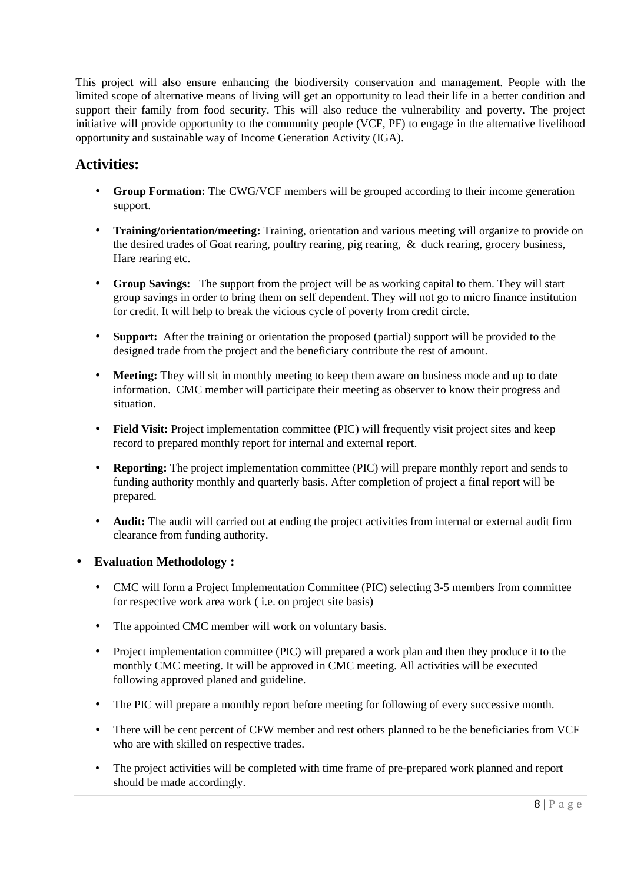This project will also ensure enhancing the biodiversity conservation and management. People with the limited scope of alternative means of living will get an opportunity to lead their life in a better condition and support their family from food security. This will also reduce the vulnerability and poverty. The project initiative will provide opportunity to the community people (VCF, PF) to engage in the alternative livelihood opportunity and sustainable way of Income Generation Activity (IGA).

## **Activities:**

- **Group Formation:** The CWG/VCF members will be grouped according to their income generation support.
- **Training/orientation/meeting:** Training, orientation and various meeting will organize to provide on the desired trades of Goat rearing, poultry rearing, pig rearing, & duck rearing, grocery business, Hare rearing etc.
- **Group Savings:** The support from the project will be as working capital to them. They will start group savings in order to bring them on self dependent. They will not go to micro finance institution for credit. It will help to break the vicious cycle of poverty from credit circle.
- **Support:** After the training or orientation the proposed (partial) support will be provided to the designed trade from the project and the beneficiary contribute the rest of amount.
- **Meeting:** They will sit in monthly meeting to keep them aware on business mode and up to date information. CMC member will participate their meeting as observer to know their progress and situation.
- **Field Visit:** Project implementation committee (PIC) will frequently visit project sites and keep record to prepared monthly report for internal and external report.
- **Reporting:** The project implementation committee (PIC) will prepare monthly report and sends to funding authority monthly and quarterly basis. After completion of project a final report will be prepared.
- **Audit:** The audit will carried out at ending the project activities from internal or external audit firm clearance from funding authority.
- **Evaluation Methodology :** 
	- CMC will form a Project Implementation Committee (PIC) selecting 3-5 members from committee for respective work area work ( i.e. on project site basis)
	- The appointed CMC member will work on voluntary basis.
	- Project implementation committee (PIC) will prepared a work plan and then they produce it to the monthly CMC meeting. It will be approved in CMC meeting. All activities will be executed following approved planed and guideline.
	- The PIC will prepare a monthly report before meeting for following of every successive month.
	- There will be cent percent of CFW member and rest others planned to be the beneficiaries from VCF who are with skilled on respective trades.
	- The project activities will be completed with time frame of pre-prepared work planned and report should be made accordingly.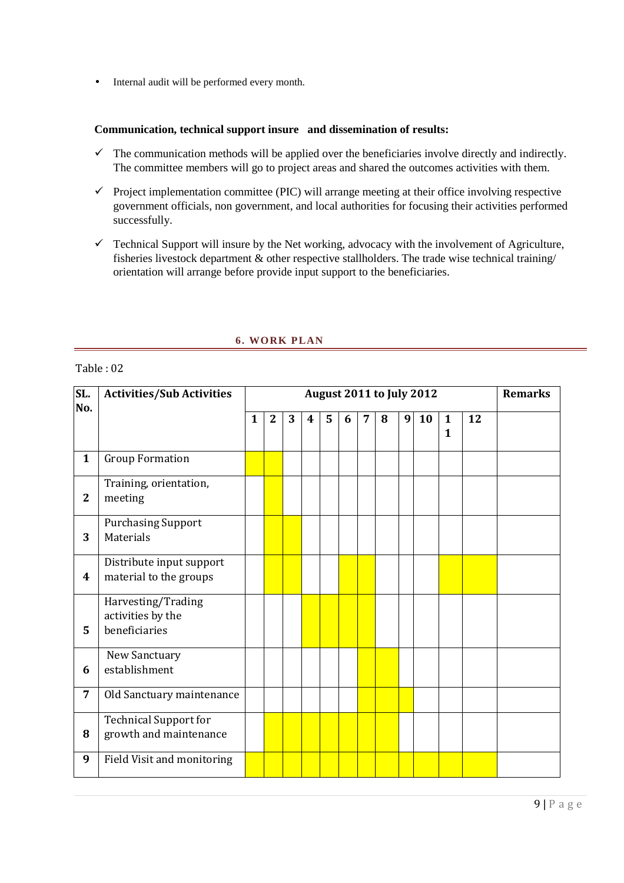• Internal audit will be performed every month.

#### **Communication, technical support insure and dissemination of results:**

- $\checkmark$  The communication methods will be applied over the beneficiaries involve directly and indirectly. The committee members will go to project areas and shared the outcomes activities with them.
- $\checkmark$  Project implementation committee (PIC) will arrange meeting at their office involving respective government officials, non government, and local authorities for focusing their activities performed successfully.
- $\checkmark$  Technical Support will insure by the Net working, advocacy with the involvement of Agriculture, fisheries livestock department & other respective stallholders. The trade wise technical training/ orientation will arrange before provide input support to the beneficiaries.

| SL.<br>No.     | <b>Activities/Sub Activities</b>                         | <b>August 2011 to July 2012</b> |                |   |                         |   |   |                |   |   | <b>Remarks</b> |                   |    |  |
|----------------|----------------------------------------------------------|---------------------------------|----------------|---|-------------------------|---|---|----------------|---|---|----------------|-------------------|----|--|
|                |                                                          | $\mathbf{1}$                    | $\overline{2}$ | 3 | $\overline{\mathbf{4}}$ | 5 | 6 | $\overline{7}$ | 8 | 9 | 10             | $\mathbf{1}$<br>1 | 12 |  |
| $\mathbf{1}$   | <b>Group Formation</b>                                   |                                 |                |   |                         |   |   |                |   |   |                |                   |    |  |
| $\overline{2}$ | Training, orientation,<br>meeting                        |                                 |                |   |                         |   |   |                |   |   |                |                   |    |  |
| 3              | <b>Purchasing Support</b><br><b>Materials</b>            |                                 |                |   |                         |   |   |                |   |   |                |                   |    |  |
| 4              | Distribute input support<br>material to the groups       |                                 |                |   |                         |   |   |                |   |   |                |                   |    |  |
| 5              | Harvesting/Trading<br>activities by the<br>beneficiaries |                                 |                |   |                         |   |   |                |   |   |                |                   |    |  |
| 6              | New Sanctuary<br>establishment                           |                                 |                |   |                         |   |   |                |   |   |                |                   |    |  |
| 7              | Old Sanctuary maintenance                                |                                 |                |   |                         |   |   |                |   |   |                |                   |    |  |
| 8              | <b>Technical Support for</b><br>growth and maintenance   |                                 |                |   |                         |   |   |                |   |   |                |                   |    |  |
| 9              | Field Visit and monitoring                               |                                 |                |   |                         |   |   |                |   |   |                |                   |    |  |

#### **6. WORK PLAN**

#### Table : 02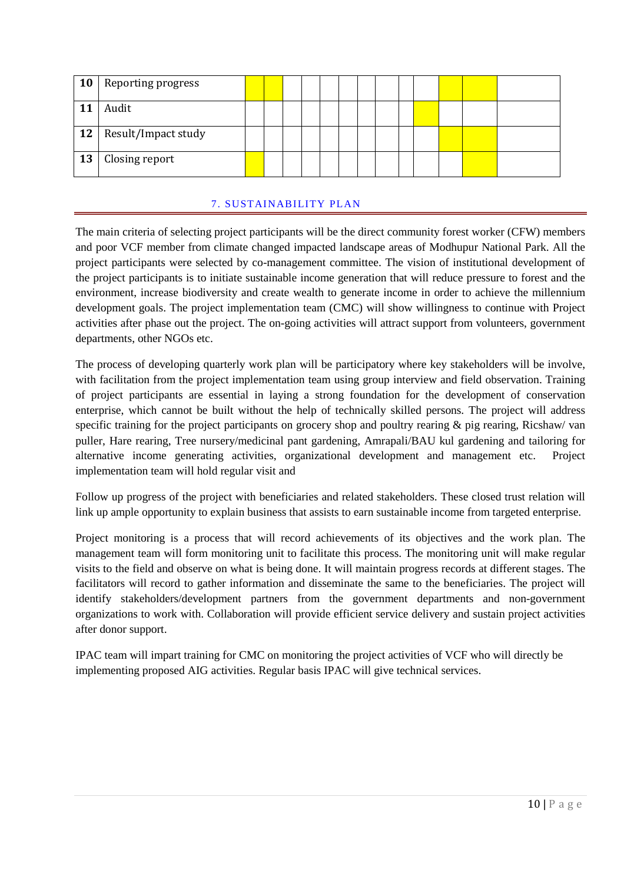| <b>10</b> | Reporting progress  |  |  |  |  |  |  |  |
|-----------|---------------------|--|--|--|--|--|--|--|
|           | Audit               |  |  |  |  |  |  |  |
| 12        | Result/Impact study |  |  |  |  |  |  |  |
| 13        | Closing report      |  |  |  |  |  |  |  |

### 7. SUSTAINABILITY PLAN

The main criteria of selecting project participants will be the direct community forest worker (CFW) members and poor VCF member from climate changed impacted landscape areas of Modhupur National Park. All the project participants were selected by co-management committee. The vision of institutional development of the project participants is to initiate sustainable income generation that will reduce pressure to forest and the environment, increase biodiversity and create wealth to generate income in order to achieve the millennium development goals. The project implementation team (CMC) will show willingness to continue with Project activities after phase out the project. The on-going activities will attract support from volunteers, government departments, other NGOs etc.

The process of developing quarterly work plan will be participatory where key stakeholders will be involve, with facilitation from the project implementation team using group interview and field observation. Training of project participants are essential in laying a strong foundation for the development of conservation enterprise, which cannot be built without the help of technically skilled persons. The project will address specific training for the project participants on grocery shop and poultry rearing & pig rearing, Ricshaw/ van puller, Hare rearing, Tree nursery/medicinal pant gardening, Amrapali/BAU kul gardening and tailoring for alternative income generating activities, organizational development and management etc. Project implementation team will hold regular visit and

Follow up progress of the project with beneficiaries and related stakeholders. These closed trust relation will link up ample opportunity to explain business that assists to earn sustainable income from targeted enterprise.

Project monitoring is a process that will record achievements of its objectives and the work plan. The management team will form monitoring unit to facilitate this process. The monitoring unit will make regular visits to the field and observe on what is being done. It will maintain progress records at different stages. The facilitators will record to gather information and disseminate the same to the beneficiaries. The project will identify stakeholders/development partners from the government departments and non-government organizations to work with. Collaboration will provide efficient service delivery and sustain project activities after donor support.

IPAC team will impart training for CMC on monitoring the project activities of VCF who will directly be implementing proposed AIG activities. Regular basis IPAC will give technical services.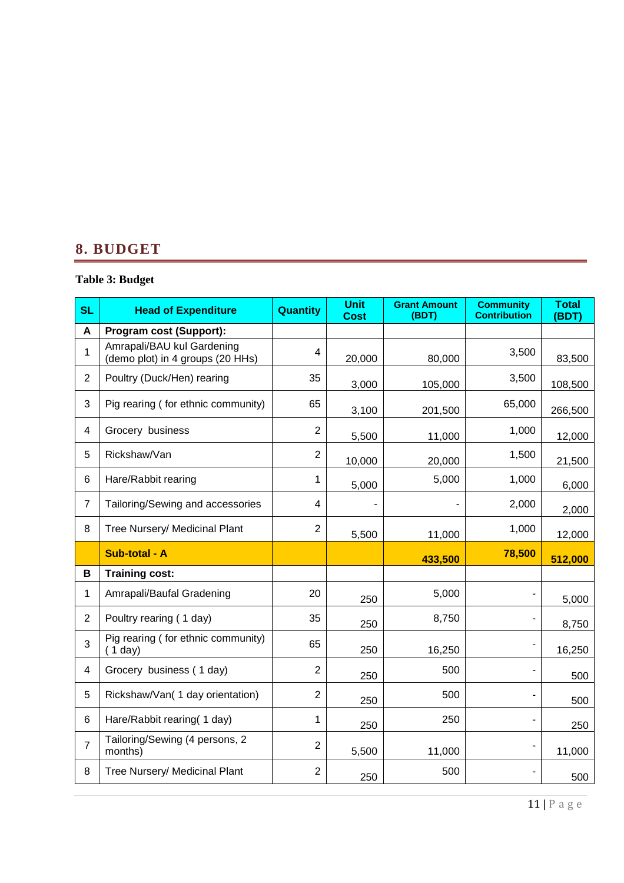## **8. BUDGET**

### **Table 3: Budget**

| <b>SL</b>      | <b>Head of Expenditure</b>                                     | <b>Quantity</b> | <b>Unit</b><br><b>Cost</b> | <b>Grant Amount</b><br>(BDT) | <b>Community</b><br><b>Contribution</b> | <b>Total</b><br>(BDT) |
|----------------|----------------------------------------------------------------|-----------------|----------------------------|------------------------------|-----------------------------------------|-----------------------|
| A              | Program cost (Support):                                        |                 |                            |                              |                                         |                       |
| 1              | Amrapali/BAU kul Gardening<br>(demo plot) in 4 groups (20 HHs) | $\overline{4}$  | 20,000                     | 80,000                       | 3,500                                   | 83,500                |
| $\overline{2}$ | Poultry (Duck/Hen) rearing                                     | 35              | 3,000                      | 105,000                      | 3,500                                   | 108,500               |
| 3              | Pig rearing (for ethnic community)                             | 65              | 3,100                      | 201,500                      | 65,000                                  | 266,500               |
| 4              | Grocery business                                               | $\overline{2}$  | 5,500                      | 11,000                       | 1,000                                   | 12,000                |
| 5              | Rickshaw/Van                                                   | $\overline{2}$  | 10,000                     | 20,000                       | 1,500                                   | 21,500                |
| 6              | Hare/Rabbit rearing                                            | 1               | 5,000                      | 5,000                        | 1,000                                   | 6,000                 |
| $\overline{7}$ | Tailoring/Sewing and accessories                               | 4               |                            |                              | 2,000                                   | 2,000                 |
| 8              | Tree Nursery/ Medicinal Plant                                  | $\overline{2}$  | 5,500                      | 11,000                       | 1,000                                   | 12,000                |
|                | Sub-total - A                                                  |                 |                            | 433,500                      | 78,500                                  | 512,000               |
| В              | <b>Training cost:</b>                                          |                 |                            |                              |                                         |                       |
| 1              | Amrapali/Baufal Gradening                                      | 20              | 250                        | 5,000                        |                                         | 5,000                 |
| $\overline{c}$ | Poultry rearing (1 day)                                        | 35              | 250                        | 8,750                        |                                         | 8,750                 |
| 3              | Pig rearing (for ethnic community)<br>(1 day)                  | 65              | 250                        | 16,250                       |                                         | 16,250                |
| 4              | Grocery business (1 day)                                       | $\overline{2}$  | 250                        | 500                          |                                         | 500                   |
| 5              | Rickshaw/Van(1 day orientation)                                | $\overline{2}$  | 250                        | 500                          |                                         | 500                   |
| 6              | Hare/Rabbit rearing(1 day)                                     | 1               | 250                        | 250                          |                                         | 250                   |
| $\overline{7}$ | Tailoring/Sewing (4 persons, 2<br>months)                      | $\overline{2}$  | 5,500                      | 11,000                       |                                         | 11,000                |
| 8              | Tree Nursery/ Medicinal Plant                                  | $\overline{2}$  | 250                        | 500                          |                                         | 500                   |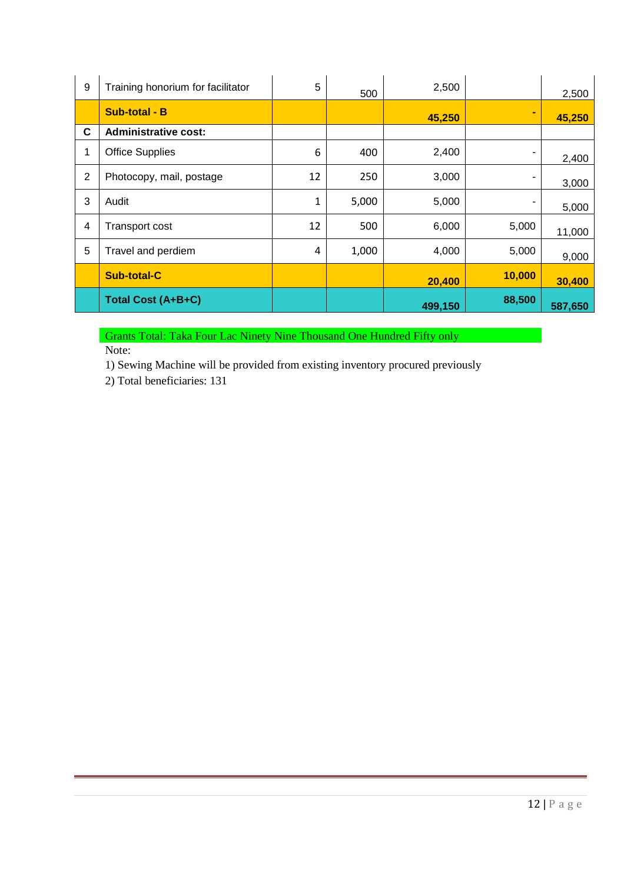| 9 | Training honorium for facilitator | 5  | 500   | 2,500   |        | 2,500   |
|---|-----------------------------------|----|-------|---------|--------|---------|
|   | <b>Sub-total - B</b>              |    |       | 45,250  | ۰      | 45,250  |
| C | <b>Administrative cost:</b>       |    |       |         |        |         |
| 1 | <b>Office Supplies</b>            | 6  | 400   | 2,400   | ۰      | 2,400   |
| 2 | Photocopy, mail, postage          | 12 | 250   | 3,000   |        | 3,000   |
| 3 | Audit                             | 1  | 5,000 | 5,000   | ۰      | 5,000   |
| 4 | <b>Transport cost</b>             | 12 | 500   | 6,000   | 5,000  | 11,000  |
| 5 | Travel and perdiem                | 4  | 1,000 | 4,000   | 5,000  | 9,000   |
|   | <b>Sub-total-C</b>                |    |       | 20,400  | 10,000 | 30,400  |
|   | Total Cost (A+B+C)                |    |       | 499,150 | 88,500 | 587,650 |

Grants Total: Taka Four Lac Ninety Nine Thousand One Hundred Fifty only Note:

1) Sewing Machine will be provided from existing inventory procured previously

2) Total beneficiaries: 131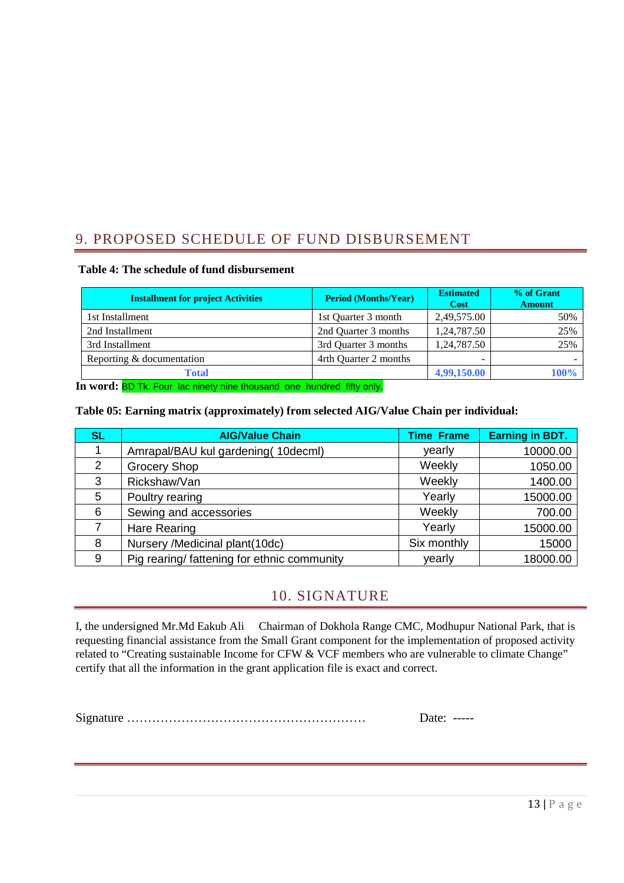## 9. PROPOSED SCHEDULE OF FUND DISBURSEMENT

#### **Table 4: The schedule of fund disbursement**

| <b>Installment for project Activities</b> | <b>Period (Months/Year)</b> | <b>Estimated</b><br><b>Cost</b> | % of Grant<br><b>Amount</b> |
|-------------------------------------------|-----------------------------|---------------------------------|-----------------------------|
| 1st Installment                           | 1st Quarter 3 month         | 2,49,575.00                     | 50%                         |
| 2nd Installment                           | 2nd Quarter 3 months        | 1,24,787.50                     | 25%                         |
| 3rd Installment                           | 3rd Quarter 3 months        | 1,24,787.50                     | 25%                         |
| Reporting & documentation                 | 4rth Quarter 2 months       |                                 |                             |
| <b>Total</b>                              |                             | 4,99,150.00                     | 100%                        |

**In word:** BD Tk. Four lac ninety nine thousand one hundred fifty only.

#### **Table 05: Earning matrix (approximately) from selected AIG/Value Chain per individual:**

| <b>SL</b> | <b>AIG/Value Chain</b>                      | <b>Time Frame</b> | <b>Earning in BDT.</b> |
|-----------|---------------------------------------------|-------------------|------------------------|
|           | Amrapal/BAU kul gardening (10decml)         | yearly            | 10000.00               |
| 2         | <b>Grocery Shop</b>                         | Weekly            | 1050.00                |
| 3         | Rickshaw/Van                                | Weekly            | 1400.00                |
| 5         | Poultry rearing                             | Yearly            | 15000.00               |
| 6         | Sewing and accessories                      | Weekly            | 700.00                 |
|           | <b>Hare Rearing</b>                         | Yearly            | 15000.00               |
| 8         | Nursery /Medicinal plant(10dc)              | Six monthly       | 15000                  |
| 9         | Pig rearing/ fattening for ethnic community | yearly            | 18000.00               |

## 10. SIGNATURE

I, the undersigned Mr.Md Eakub Ali Chairman of Dokhola Range CMC, Modhupur National Park, that is requesting financial assistance from the Small Grant component for the implementation of proposed activity related to "Creating sustainable Income for CFW & VCF members who are vulnerable to climate Change" certify that all the information in the grant application file is exact and correct.

Signature ………………………………………………… Date: -----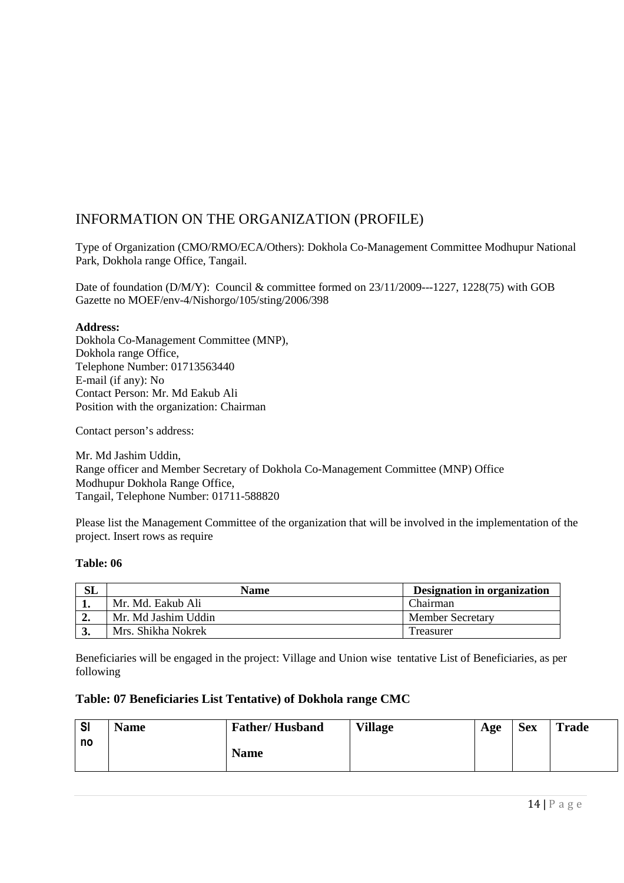## INFORMATION ON THE ORGANIZATION (PROFILE)

Type of Organization (CMO/RMO/ECA/Others): Dokhola Co-Management Committee Modhupur National Park, Dokhola range Office, Tangail.

Date of foundation (D/M/Y): Council & committee formed on 23/11/2009---1227, 1228(75) with GOB Gazette no MOEF/env-4/Nishorgo/105/sting/2006/398

#### **Address:**

Dokhola Co-Management Committee (MNP), Dokhola range Office, Telephone Number: 01713563440 E-mail (if any): No Contact Person: Mr. Md Eakub Ali Position with the organization: Chairman

Contact person's address:

Mr. Md Jashim Uddin, Range officer and Member Secretary of Dokhola Co-Management Committee (MNP) Office Modhupur Dokhola Range Office, Tangail, Telephone Number: 01711-588820

Please list the Management Committee of the organization that will be involved in the implementation of the project. Insert rows as require

#### **Table: 06**

| <b>SL</b> | <b>Name</b>         | <b>Designation in organization</b> |
|-----------|---------------------|------------------------------------|
|           | Mr. Md. Eakub Ali   | Chairman                           |
| ∸∙        | Mr. Md Jashim Uddin | <b>Member Secretary</b>            |
| J.        | Mrs. Shikha Nokrek  | Treasurer                          |

Beneficiaries will be engaged in the project: Village and Union wise tentative List of Beneficiaries, as per following

### **Table: 07 Beneficiaries List Tentative) of Dokhola range CMC**

| <b>SI</b> | <b>Name</b> | <b>Father/Husband</b> | <b>Village</b> | Age | <b>Sex</b> | <b>Trade</b> |
|-----------|-------------|-----------------------|----------------|-----|------------|--------------|
| no        |             | <b>Name</b>           |                |     |            |              |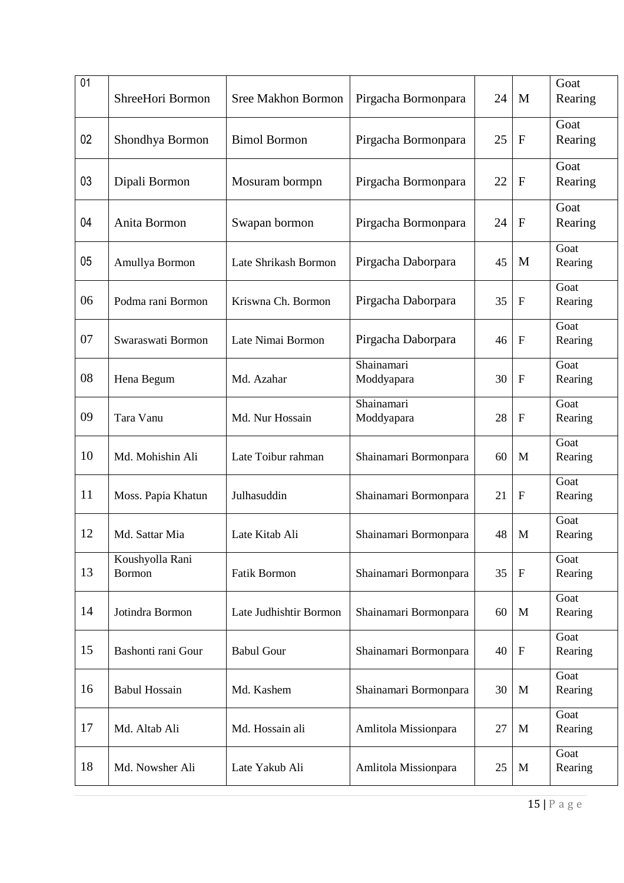| 01 | ShreeHori Bormon                 | <b>Sree Makhon Bormon</b> | Pirgacha Bormonpara      | 24 | M            | Goat<br>Rearing |
|----|----------------------------------|---------------------------|--------------------------|----|--------------|-----------------|
| 02 | Shondhya Bormon                  | <b>Bimol Bormon</b>       | Pirgacha Bormonpara      | 25 | $\mathbf{F}$ | Goat<br>Rearing |
| 03 | Dipali Bormon                    | Mosuram bormpn            | Pirgacha Bormonpara      | 22 | $\mathbf{F}$ | Goat<br>Rearing |
| 04 | Anita Bormon                     | Swapan bormon             | Pirgacha Bormonpara      | 24 | $\mathbf{F}$ | Goat<br>Rearing |
| 05 | Amullya Bormon                   | Late Shrikash Bormon      | Pirgacha Daborpara       | 45 | M            | Goat<br>Rearing |
| 06 | Podma rani Bormon                | Kriswna Ch. Bormon        | Pirgacha Daborpara       | 35 | $\mathbf{F}$ | Goat<br>Rearing |
| 07 | Swaraswati Bormon                | Late Nimai Bormon         | Pirgacha Daborpara       | 46 | $\mathbf{F}$ | Goat<br>Rearing |
| 08 | Hena Begum                       | Md. Azahar                | Shainamari<br>Moddyapara | 30 | ${\bf F}$    | Goat<br>Rearing |
| 09 | Tara Vanu                        | Md. Nur Hossain           | Shainamari<br>Moddyapara | 28 | $\mathbf F$  | Goat<br>Rearing |
| 10 | Md. Mohishin Ali                 | Late Toibur rahman        | Shainamari Bormonpara    | 60 | M            | Goat<br>Rearing |
| 11 | Moss. Papia Khatun               | Julhasuddin               | Shainamari Bormonpara    | 21 | $\mathbf{F}$ | Goat<br>Rearing |
| 12 | Md. Sattar Mia                   | Late Kitab Ali            | Shainamari Bormonpara    | 48 | M            | Goat<br>Rearing |
| 13 | Koushyolla Rani<br><b>Bormon</b> | <b>Fatik Bormon</b>       | Shainamari Bormonpara    | 35 | $\mathbf F$  | Goat<br>Rearing |
| 14 | Jotindra Bormon                  | Late Judhishtir Bormon    | Shainamari Bormonpara    | 60 | M            | Goat<br>Rearing |
| 15 | Bashonti rani Gour               | <b>Babul Gour</b>         | Shainamari Bormonpara    | 40 | $\mathbf F$  | Goat<br>Rearing |
| 16 | <b>Babul Hossain</b>             | Md. Kashem                | Shainamari Bormonpara    | 30 | M            | Goat<br>Rearing |
| 17 | Md. Altab Ali                    | Md. Hossain ali           | Amlitola Missionpara     | 27 | M            | Goat<br>Rearing |
| 18 | Md. Nowsher Ali                  | Late Yakub Ali            | Amlitola Missionpara     | 25 | M            | Goat<br>Rearing |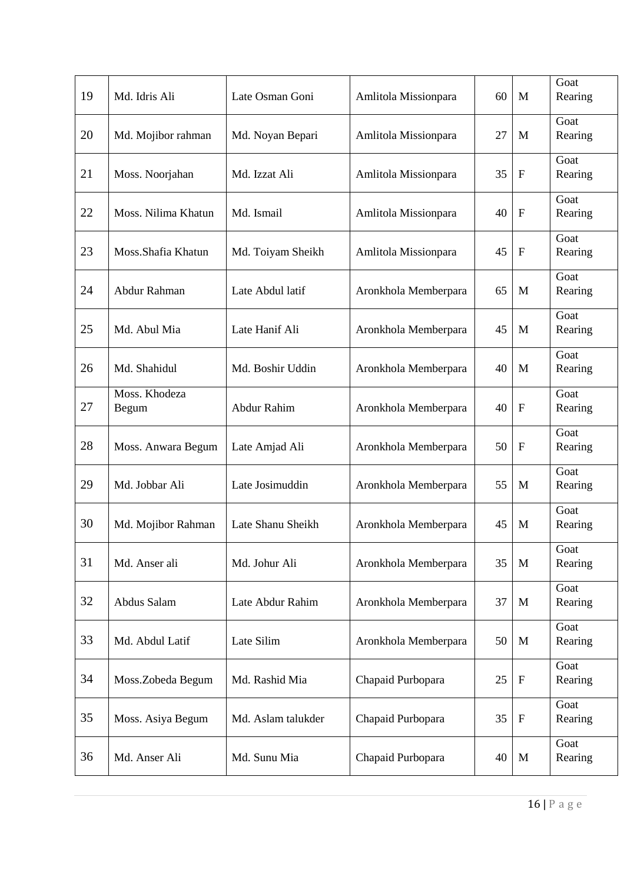| 19 | Md. Idris Ali          | Late Osman Goni    | Amlitola Missionpara | 60 | M            | Goat<br>Rearing |
|----|------------------------|--------------------|----------------------|----|--------------|-----------------|
| 20 | Md. Mojibor rahman     | Md. Noyan Bepari   | Amlitola Missionpara | 27 | M            | Goat<br>Rearing |
| 21 | Moss. Noorjahan        | Md. Izzat Ali      | Amlitola Missionpara | 35 | $\mathbf F$  | Goat<br>Rearing |
| 22 | Moss. Nilima Khatun    | Md. Ismail         | Amlitola Missionpara | 40 | $\mathbf F$  | Goat<br>Rearing |
| 23 | Moss.Shafia Khatun     | Md. Toiyam Sheikh  | Amlitola Missionpara | 45 | $\mathbf{F}$ | Goat<br>Rearing |
| 24 | Abdur Rahman           | Late Abdul latif   | Aronkhola Memberpara | 65 | M            | Goat<br>Rearing |
| 25 | Md. Abul Mia           | Late Hanif Ali     | Aronkhola Memberpara | 45 | M            | Goat<br>Rearing |
| 26 | Md. Shahidul           | Md. Boshir Uddin   | Aronkhola Memberpara | 40 | M            | Goat<br>Rearing |
| 27 | Moss. Khodeza<br>Begum | Abdur Rahim        | Aronkhola Memberpara | 40 | $\mathbf F$  | Goat<br>Rearing |
| 28 | Moss. Anwara Begum     | Late Amjad Ali     | Aronkhola Memberpara | 50 | $\mathbf F$  | Goat<br>Rearing |
| 29 | Md. Jobbar Ali         | Late Josimuddin    | Aronkhola Memberpara | 55 | M            | Goat<br>Rearing |
| 30 | Md. Mojibor Rahman     | Late Shanu Sheikh  | Aronkhola Memberpara | 45 | M            | Goat<br>Rearing |
| 31 | Md. Anser ali          | Md. Johur Ali      | Aronkhola Memberpara | 35 | M            | Goat<br>Rearing |
| 32 | Abdus Salam            | Late Abdur Rahim   | Aronkhola Memberpara | 37 | M            | Goat<br>Rearing |
| 33 | Md. Abdul Latif        | Late Silim         | Aronkhola Memberpara | 50 | M            | Goat<br>Rearing |
| 34 | Moss.Zobeda Begum      | Md. Rashid Mia     | Chapaid Purbopara    | 25 | $\mathbf F$  | Goat<br>Rearing |
| 35 | Moss. Asiya Begum      | Md. Aslam talukder | Chapaid Purbopara    | 35 | ${\bf F}$    | Goat<br>Rearing |
| 36 | Md. Anser Ali          | Md. Sunu Mia       | Chapaid Purbopara    | 40 | M            | Goat<br>Rearing |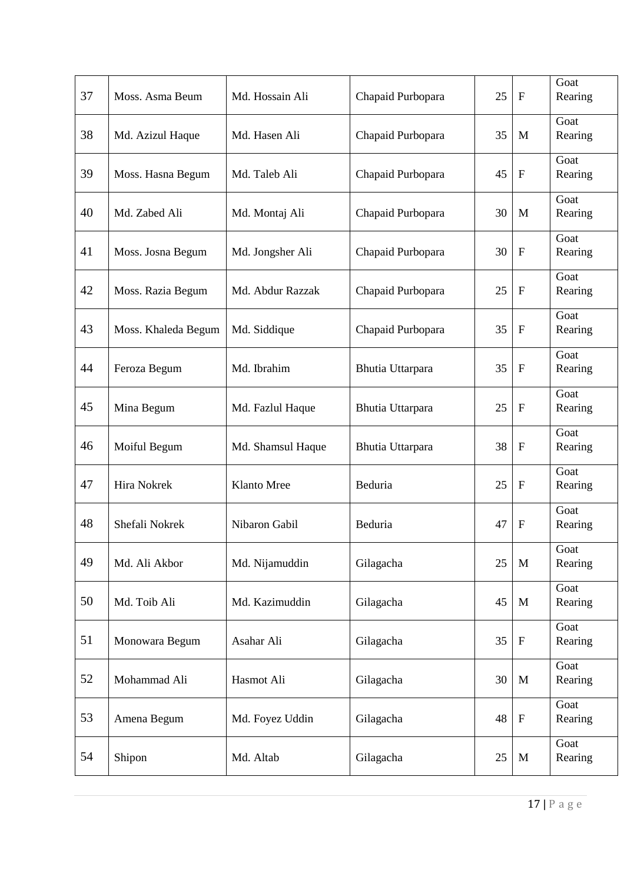| 37 | Moss. Asma Beum     | Md. Hossain Ali   | Chapaid Purbopara | 25 | $\mathbf{F}$              | Goat<br>Rearing |
|----|---------------------|-------------------|-------------------|----|---------------------------|-----------------|
| 38 | Md. Azizul Haque    | Md. Hasen Ali     | Chapaid Purbopara | 35 | M                         | Goat<br>Rearing |
| 39 | Moss. Hasna Begum   | Md. Taleb Ali     | Chapaid Purbopara | 45 | $\mathbf{F}$              | Goat<br>Rearing |
| 40 | Md. Zabed Ali       | Md. Montaj Ali    | Chapaid Purbopara | 30 | M                         | Goat<br>Rearing |
| 41 | Moss. Josna Begum   | Md. Jongsher Ali  | Chapaid Purbopara | 30 | ${\bf F}$                 | Goat<br>Rearing |
| 42 | Moss. Razia Begum   | Md. Abdur Razzak  | Chapaid Purbopara | 25 | $\mathbf F$               | Goat<br>Rearing |
| 43 | Moss. Khaleda Begum | Md. Siddique      | Chapaid Purbopara | 35 | $\boldsymbol{\mathrm{F}}$ | Goat<br>Rearing |
| 44 | Feroza Begum        | Md. Ibrahim       | Bhutia Uttarpara  | 35 | $\mathbf{F}$              | Goat<br>Rearing |
| 45 | Mina Begum          | Md. Fazlul Haque  | Bhutia Uttarpara  | 25 | $\mathbf{F}$              | Goat<br>Rearing |
| 46 | Moiful Begum        | Md. Shamsul Haque | Bhutia Uttarpara  | 38 | ${\bf F}$                 | Goat<br>Rearing |
| 47 | Hira Nokrek         | Klanto Mree       | Beduria           | 25 | $\boldsymbol{\mathrm{F}}$ | Goat<br>Rearing |
| 48 | Shefali Nokrek      | Nibaron Gabil     | Beduria           | 47 | $\mathbf F$               | Goat<br>Rearing |
| 49 | Md. Ali Akbor       | Md. Nijamuddin    | Gilagacha         | 25 | M                         | Goat<br>Rearing |
| 50 | Md. Toib Ali        | Md. Kazimuddin    | Gilagacha         | 45 | $\mathbf{M}$              | Goat<br>Rearing |
| 51 | Monowara Begum      | Asahar Ali        | Gilagacha         | 35 | $\mathbf F$               | Goat<br>Rearing |
| 52 | Mohammad Ali        | Hasmot Ali        | Gilagacha         | 30 | M                         | Goat<br>Rearing |
| 53 | Amena Begum         | Md. Foyez Uddin   | Gilagacha         | 48 | ${\bf F}$                 | Goat<br>Rearing |
| 54 | Shipon              | Md. Altab         | Gilagacha         | 25 | M                         | Goat<br>Rearing |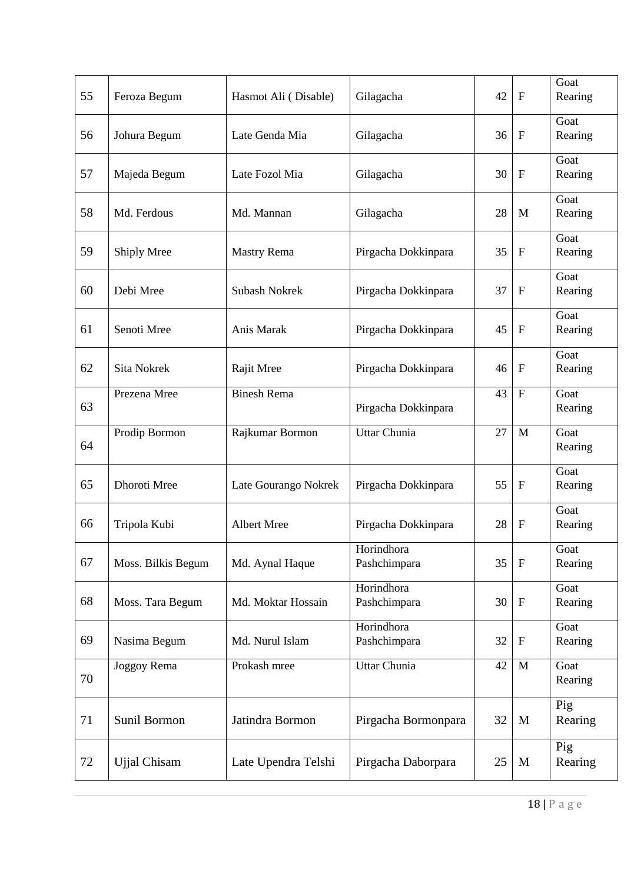| 55 | Feroza Begum        | Hasmot Ali (Disable) | Gilagacha                  | 42 | $\mathbf{F}$              | Goat<br>Rearing |
|----|---------------------|----------------------|----------------------------|----|---------------------------|-----------------|
| 56 | Johura Begum        | Late Genda Mia       | Gilagacha                  | 36 | $\boldsymbol{\mathrm{F}}$ | Goat<br>Rearing |
| 57 | Majeda Begum        | Late Fozol Mia       | Gilagacha                  | 30 | $\mathbf{F}$              | Goat<br>Rearing |
| 58 | Md. Ferdous         | Md. Mannan           | Gilagacha                  | 28 | M                         | Goat<br>Rearing |
| 59 | Shiply Mree         | <b>Mastry Rema</b>   | Pirgacha Dokkinpara        | 35 | $\mathbf F$               | Goat<br>Rearing |
| 60 | Debi Mree           | <b>Subash Nokrek</b> | Pirgacha Dokkinpara        | 37 | $\mathbf F$               | Goat<br>Rearing |
| 61 | Senoti Mree         | Anis Marak           | Pirgacha Dokkinpara        | 45 | $\boldsymbol{\mathrm{F}}$ | Goat<br>Rearing |
| 62 | Sita Nokrek         | Rajit Mree           | Pirgacha Dokkinpara        | 46 | $\mathbf{F}$              | Goat<br>Rearing |
| 63 | Prezena Mree        | <b>Binesh Rema</b>   | Pirgacha Dokkinpara        | 43 | $\overline{F}$            | Goat<br>Rearing |
| 64 | Prodip Bormon       | Rajkumar Bormon      | Uttar Chunia               | 27 | M                         | Goat<br>Rearing |
| 65 | Dhoroti Mree        | Late Gourango Nokrek | Pirgacha Dokkinpara        | 55 | $\mathbf{F}$              | Goat<br>Rearing |
| 66 | Tripola Kubi        | Albert Mree          | Pirgacha Dokkinpara        | 28 | $\mathbf{F}$              | Goat<br>Rearing |
| 67 | Moss. Bilkis Begum  | Md. Aynal Haque      | Horindhora<br>Pashchimpara | 35 | $\boldsymbol{\mathrm{F}}$ | Goat<br>Rearing |
| 68 | Moss. Tara Begum    | Md. Moktar Hossain   | Horindhora<br>Pashchimpara | 30 | ${\bf F}$                 | Goat<br>Rearing |
| 69 | Nasima Begum        | Md. Nurul Islam      | Horindhora<br>Pashchimpara | 32 | ${\bf F}$                 | Goat<br>Rearing |
| 70 | Joggoy Rema         | Prokash mree         | Uttar Chunia               | 42 | $\mathbf{M}$              | Goat<br>Rearing |
| 71 | Sunil Bormon        | Jatindra Bormon      | Pirgacha Bormonpara        | 32 | M                         | Pig<br>Rearing  |
| 72 | <b>Ujjal Chisam</b> | Late Upendra Telshi  | Pirgacha Daborpara         | 25 | $\mathbf{M}$              | Pig<br>Rearing  |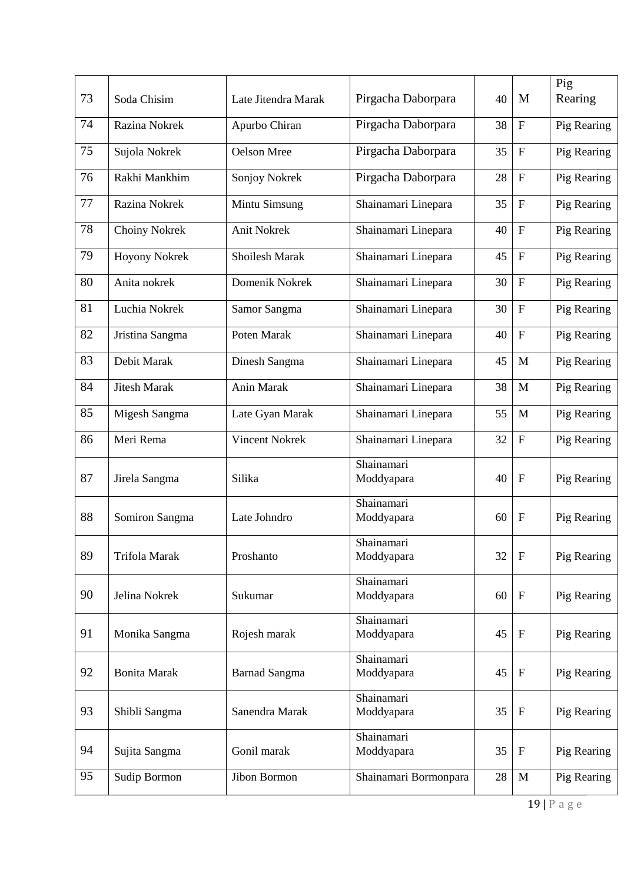| 73 | Soda Chisim          | Late Jitendra Marak   | Pirgacha Daborpara       | 40 | M                         | Pig<br>Rearing |
|----|----------------------|-----------------------|--------------------------|----|---------------------------|----------------|
| 74 | Razina Nokrek        | Apurbo Chiran         | Pirgacha Daborpara       | 38 | $\mathbf F$               | Pig Rearing    |
| 75 | Sujola Nokrek        | Oelson Mree           | Pirgacha Daborpara       | 35 | $\mathbf{F}$              | Pig Rearing    |
| 76 | Rakhi Mankhim        | Sonjoy Nokrek         | Pirgacha Daborpara       | 28 | $\mathbf F$               | Pig Rearing    |
| 77 | Razina Nokrek        | Mintu Simsung         | Shainamari Linepara      | 35 | $\mathbf{F}$              | Pig Rearing    |
| 78 | Choiny Nokrek        | Anit Nokrek           | Shainamari Linepara      | 40 | $\boldsymbol{\mathrm{F}}$ | Pig Rearing    |
| 79 | <b>Hoyony Nokrek</b> | Shoilesh Marak        | Shainamari Linepara      | 45 | $\boldsymbol{\mathrm{F}}$ | Pig Rearing    |
| 80 | Anita nokrek         | Domenik Nokrek        | Shainamari Linepara      | 30 | $\mathbf{F}$              | Pig Rearing    |
| 81 | Luchia Nokrek        | Samor Sangma          | Shainamari Linepara      | 30 | $\boldsymbol{\mathrm{F}}$ | Pig Rearing    |
| 82 | Jristina Sangma      | Poten Marak           | Shainamari Linepara      | 40 | $\boldsymbol{\mathrm{F}}$ | Pig Rearing    |
| 83 | Debit Marak          | Dinesh Sangma         | Shainamari Linepara      | 45 | M                         | Pig Rearing    |
| 84 | <b>Jitesh Marak</b>  | Anin Marak            | Shainamari Linepara      | 38 | M                         | Pig Rearing    |
| 85 | Migesh Sangma        | Late Gyan Marak       | Shainamari Linepara      | 55 | M                         | Pig Rearing    |
| 86 | Meri Rema            | <b>Vincent Nokrek</b> | Shainamari Linepara      | 32 | $\boldsymbol{\mathrm{F}}$ | Pig Rearing    |
| 87 | Jirela Sangma        | Silika                | Shainamari<br>Moddyapara | 40 | $\mathbf{F}$              | Pig Rearing    |
| 88 | Somiron Sangma       | Late Johndro          | Shainamari<br>Moddyapara | 60 | $\mathbf{F}$              | Pig Rearing    |
| 89 | Trifola Marak        | Proshanto             | Shainamari<br>Moddyapara | 32 | $\mathbf{F}$              | Pig Rearing    |
| 90 | Jelina Nokrek        | Sukumar               | Shainamari<br>Moddyapara | 60 | $\mathbf F$               | Pig Rearing    |
| 91 | Monika Sangma        | Rojesh marak          | Shainamari<br>Moddyapara | 45 | $\mathbf{F}$              | Pig Rearing    |
| 92 | <b>Bonita Marak</b>  | <b>Barnad Sangma</b>  | Shainamari<br>Moddyapara | 45 | $\mathbf F$               | Pig Rearing    |
| 93 | Shibli Sangma        | Sanendra Marak        | Shainamari<br>Moddyapara | 35 | $\mathbf F$               | Pig Rearing    |
| 94 | Sujita Sangma        | Gonil marak           | Shainamari<br>Moddyapara | 35 | $\mathbf F$               | Pig Rearing    |
| 95 | Sudip Bormon         | Jibon Bormon          | Shainamari Bormonpara    | 28 | $\mathbf M$               | Pig Rearing    |
|    |                      |                       |                          |    |                           |                |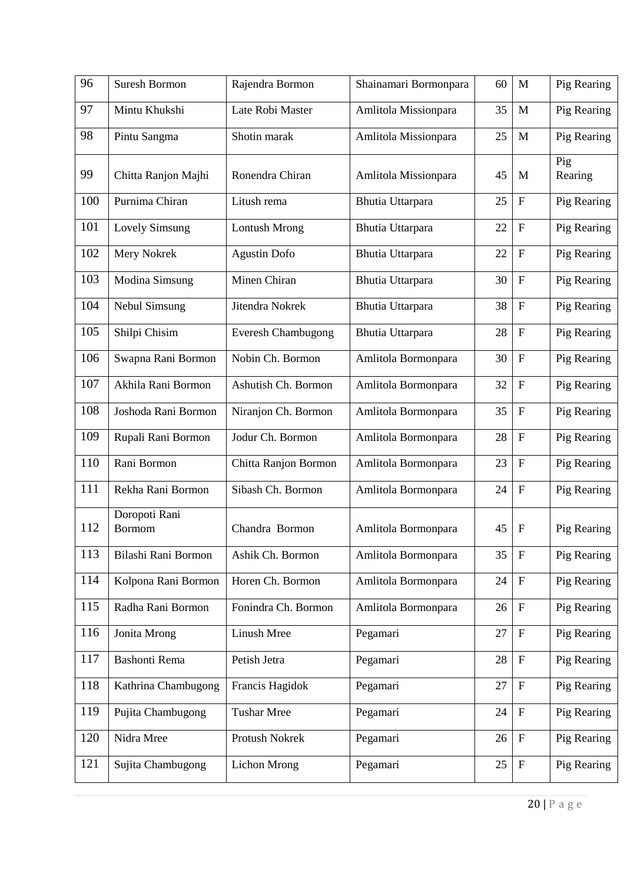| 96  | <b>Suresh Bormon</b>           | Rajendra Bormon           | Shainamari Bormonpara   | 60 | $\mathbf{M}$              | Pig Rearing    |
|-----|--------------------------------|---------------------------|-------------------------|----|---------------------------|----------------|
| 97  | Mintu Khukshi                  | Late Robi Master          | Amlitola Missionpara    | 35 | M                         | Pig Rearing    |
| 98  | Pintu Sangma                   | Shotin marak              | Amlitola Missionpara    | 25 | M                         | Pig Rearing    |
| 99  | Chitta Ranjon Majhi            | Ronendra Chiran           | Amlitola Missionpara    | 45 | M                         | Pig<br>Rearing |
| 100 | Purnima Chiran                 | Litush rema               | Bhutia Uttarpara        | 25 | $\boldsymbol{\mathrm{F}}$ | Pig Rearing    |
| 101 | <b>Lovely Simsung</b>          | Lontush Mrong             | <b>Bhutia Uttarpara</b> | 22 | $\mathbf F$               | Pig Rearing    |
| 102 | Mery Nokrek                    | <b>Agustin Dofo</b>       | Bhutia Uttarpara        | 22 | $\mathbf F$               | Pig Rearing    |
| 103 | Modina Simsung                 | Minen Chiran              | Bhutia Uttarpara        | 30 | $\mathbf F$               | Pig Rearing    |
| 104 | Nebul Simsung                  | Jitendra Nokrek           | Bhutia Uttarpara        | 38 | $\mathbf F$               | Pig Rearing    |
| 105 | Shilpi Chisim                  | <b>Everesh Chambugong</b> | Bhutia Uttarpara        | 28 | $\mathbf F$               | Pig Rearing    |
| 106 | Swapna Rani Bormon             | Nobin Ch. Bormon          | Amlitola Bormonpara     | 30 | $\boldsymbol{\mathrm{F}}$ | Pig Rearing    |
| 107 | Akhila Rani Bormon             | Ashutish Ch. Bormon       | Amlitola Bormonpara     | 32 | $\boldsymbol{\mathrm{F}}$ | Pig Rearing    |
| 108 | Joshoda Rani Bormon            | Niranjon Ch. Bormon       | Amlitola Bormonpara     | 35 | $\mathbf F$               | Pig Rearing    |
| 109 | Rupali Rani Bormon             | Jodur Ch. Bormon          | Amlitola Bormonpara     | 28 | $\boldsymbol{\mathrm{F}}$ | Pig Rearing    |
| 110 | Rani Bormon                    | Chitta Ranjon Bormon      | Amlitola Bormonpara     | 23 | $\mathbf F$               | Pig Rearing    |
| 111 | Rekha Rani Bormon              | Sibash Ch. Bormon         | Amlitola Bormonpara     | 24 | $\mathbf F$               | Pig Rearing    |
| 112 | Doropoti Rani<br><b>Bormom</b> | Chandra Bormon            | Amlitola Bormonpara     | 45 | $\mathbf F$               | Pig Rearing    |
| 113 | Bilashi Rani Bormon            | Ashik Ch. Bormon          | Amlitola Bormonpara     | 35 | $\mathbf F$               | Pig Rearing    |
| 114 | Kolpona Rani Bormon            | Horen Ch. Bormon          | Amlitola Bormonpara     | 24 | $\boldsymbol{\mathrm{F}}$ | Pig Rearing    |
| 115 | Radha Rani Bormon              | Fonindra Ch. Bormon       | Amlitola Bormonpara     | 26 | $\mathbf F$               | Pig Rearing    |
| 116 | Jonita Mrong                   | Linush Mree               | Pegamari                | 27 | ${\bf F}$                 | Pig Rearing    |
| 117 | Bashonti Rema                  | Petish Jetra              | Pegamari                | 28 | $\boldsymbol{\mathrm{F}}$ | Pig Rearing    |
| 118 | Kathrina Chambugong            | Francis Hagidok           | Pegamari                | 27 | $\boldsymbol{\mathrm{F}}$ | Pig Rearing    |
| 119 | Pujita Chambugong              | <b>Tushar Mree</b>        | Pegamari                | 24 | ${\bf F}$                 | Pig Rearing    |
| 120 | Nidra Mree                     | Protush Nokrek            | Pegamari                | 26 | $\boldsymbol{\mathrm{F}}$ | Pig Rearing    |
| 121 | Sujita Chambugong              | Lichon Mrong              | Pegamari                | 25 | $\mathbf F$               | Pig Rearing    |
|     |                                |                           |                         |    |                           |                |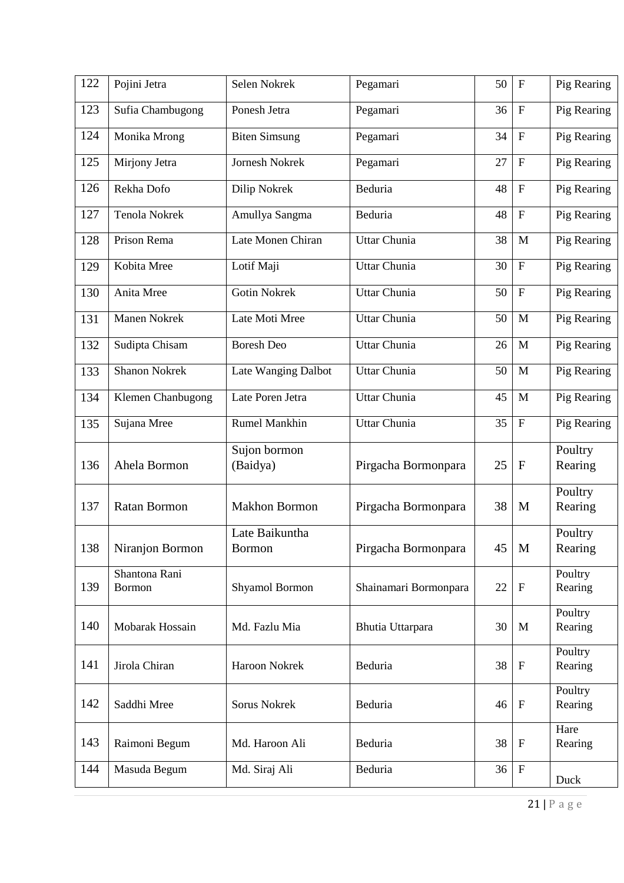| 122 | Pojini Jetra                   | Selen Nokrek                    | Pegamari              | 50 | $\boldsymbol{\mathrm{F}}$ | Pig Rearing        |
|-----|--------------------------------|---------------------------------|-----------------------|----|---------------------------|--------------------|
| 123 | Sufia Chambugong               | Ponesh Jetra                    | Pegamari              | 36 | $\boldsymbol{\mathrm{F}}$ | Pig Rearing        |
| 124 | Monika Mrong                   | <b>Biten Simsung</b>            | Pegamari              | 34 | $\overline{F}$            | Pig Rearing        |
| 125 | Mirjony Jetra                  | Jornesh Nokrek                  | Pegamari              | 27 | $\overline{F}$            | Pig Rearing        |
| 126 | Rekha Dofo                     | Dilip Nokrek                    | Beduria               | 48 | $\boldsymbol{\mathrm{F}}$ | Pig Rearing        |
| 127 | Tenola Nokrek                  | Amullya Sangma                  | Beduria               | 48 | $\mathbf F$               | Pig Rearing        |
| 128 | Prison Rema                    | Late Monen Chiran               | Uttar Chunia          | 38 | M                         | Pig Rearing        |
| 129 | Kobita Mree                    | Lotif Maji                      | Uttar Chunia          | 30 | $\mathbf F$               | Pig Rearing        |
| 130 | Anita Mree                     | <b>Gotin Nokrek</b>             | Uttar Chunia          | 50 | ${\bf F}$                 | Pig Rearing        |
| 131 | <b>Manen Nokrek</b>            | Late Moti Mree                  | Uttar Chunia          | 50 | M                         | Pig Rearing        |
| 132 | Sudipta Chisam                 | <b>Boresh Deo</b>               | Uttar Chunia          | 26 | M                         | Pig Rearing        |
| 133 | <b>Shanon Nokrek</b>           | Late Wanging Dalbot             | Uttar Chunia          | 50 | M                         | Pig Rearing        |
| 134 | Klemen Chanbugong              | Late Poren Jetra                | Uttar Chunia          | 45 | M                         | Pig Rearing        |
| 135 | Sujana Mree                    | <b>Rumel Mankhin</b>            | Uttar Chunia          | 35 | $\mathbf F$               | Pig Rearing        |
| 136 | Ahela Bormon                   | Sujon bormon<br>(Baidya)        | Pirgacha Bormonpara   | 25 | $\mathbf F$               | Poultry<br>Rearing |
| 137 | <b>Ratan Bormon</b>            | <b>Makhon Bormon</b>            | Pirgacha Bormonpara   | 38 | M                         | Poultry<br>Rearing |
| 138 | Niranjon Bormon                | Late Baikuntha<br><b>Bormon</b> | Pirgacha Bormonpara   | 45 | M                         | Poultry<br>Rearing |
| 139 | Shantona Rani<br><b>Bormon</b> | Shyamol Bormon                  | Shainamari Bormonpara | 22 | $\boldsymbol{\mathrm{F}}$ | Poultry<br>Rearing |
| 140 | Mobarak Hossain                | Md. Fazlu Mia                   | Bhutia Uttarpara      | 30 | M                         | Poultry<br>Rearing |
| 141 | Jirola Chiran                  | Haroon Nokrek                   | Beduria               | 38 | $\mathbf F$               | Poultry<br>Rearing |
| 142 | Saddhi Mree                    | Sorus Nokrek                    | Beduria               | 46 | $\mathbf F$               | Poultry<br>Rearing |
| 143 | Raimoni Begum                  | Md. Haroon Ali                  | Beduria               | 38 | $\mathbf F$               | Hare<br>Rearing    |
| 144 | Masuda Begum                   | Md. Siraj Ali                   | Beduria               | 36 | $\mathbf F$               | Duck               |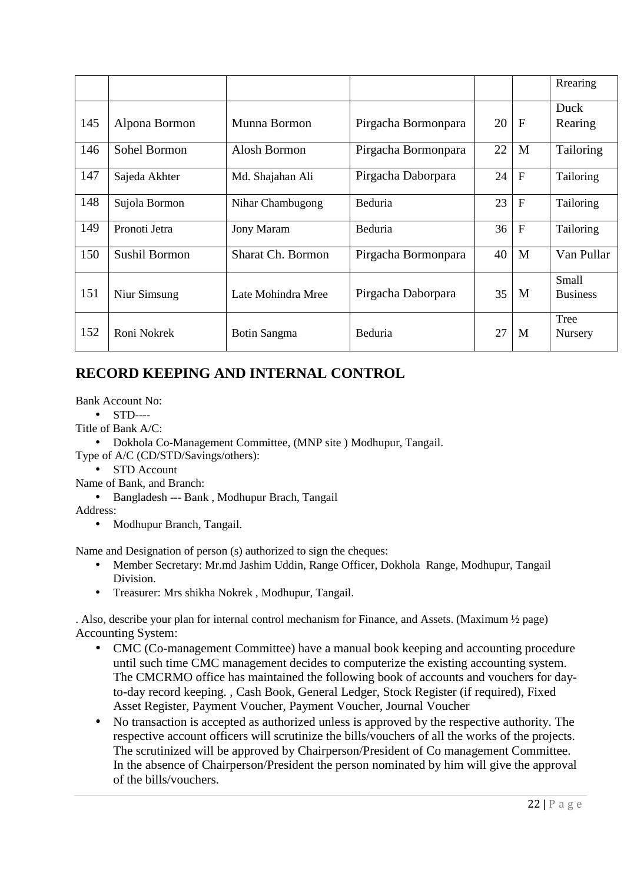|     |                      |                          |                     |    |              | Rrearing        |
|-----|----------------------|--------------------------|---------------------|----|--------------|-----------------|
|     |                      | Munna Bormon             |                     | 20 | F            | Duck            |
| 145 | Alpona Bormon        |                          | Pirgacha Bormonpara |    |              | Rearing         |
| 146 | Sohel Bormon         | Alosh Bormon             | Pirgacha Bormonpara | 22 | M            | Tailoring       |
| 147 | Sajeda Akhter        | Md. Shajahan Ali         | Pirgacha Daborpara  | 24 | $\mathbf{F}$ | Tailoring       |
| 148 | Sujola Bormon        | Nihar Chambugong         | Beduria             | 23 | $\mathbf{F}$ | Tailoring       |
| 149 | Pronoti Jetra        | <b>Jony Maram</b>        | Beduria             | 36 | $\mathbf{F}$ | Tailoring       |
| 150 | <b>Sushil Bormon</b> | <b>Sharat Ch. Bormon</b> | Pirgacha Bormonpara | 40 | M            | Van Pullar      |
|     |                      |                          |                     |    |              | Small           |
| 151 | Niur Simsung         | Late Mohindra Mree       | Pirgacha Daborpara  | 35 | M            | <b>Business</b> |
|     |                      |                          |                     |    |              | Tree            |
| 152 | Roni Nokrek          | Botin Sangma             | Beduria             | 27 | M            | Nursery         |

## **RECORD KEEPING AND INTERNAL CONTROL**

Bank Account No:

- STD----
- Title of Bank A/C:

• Dokhola Co-Management Committee, (MNP site ) Modhupur, Tangail.

- Type of A/C (CD/STD/Savings/others):
	- STD Account

Name of Bank, and Branch:

• Bangladesh --- Bank , Modhupur Brach, Tangail

Address:

• Modhupur Branch, Tangail.

Name and Designation of person (s) authorized to sign the cheques:

- Member Secretary: Mr.md Jashim Uddin, Range Officer, Dokhola Range, Modhupur, Tangail Division.
- Treasurer: Mrs shikha Nokrek , Modhupur, Tangail.

. Also, describe your plan for internal control mechanism for Finance, and Assets. (Maximum ½ page) Accounting System:

- CMC (Co-management Committee) have a manual book keeping and accounting procedure until such time CMC management decides to computerize the existing accounting system. The CMCRMO office has maintained the following book of accounts and vouchers for dayto-day record keeping. , Cash Book, General Ledger, Stock Register (if required), Fixed Asset Register, Payment Voucher, Payment Voucher, Journal Voucher
- No transaction is accepted as authorized unless is approved by the respective authority. The respective account officers will scrutinize the bills/vouchers of all the works of the projects. The scrutinized will be approved by Chairperson/President of Co management Committee. In the absence of Chairperson/President the person nominated by him will give the approval of the bills/vouchers.